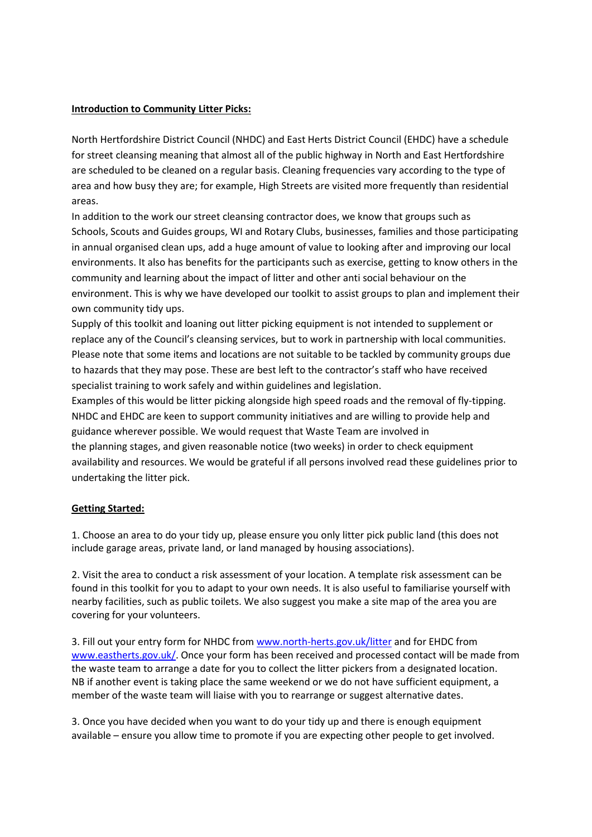#### **Introduction to Community Litter Picks:**

North Hertfordshire District Council (NHDC) and East Herts District Council (EHDC) have a schedule for street cleansing meaning that almost all of the public highway in North and East Hertfordshire are scheduled to be cleaned on a regular basis. Cleaning frequencies vary according to the type of area and how busy they are; for example, High Streets are visited more frequently than residential areas.

In addition to the work our street cleansing contractor does, we know that groups such as Schools, Scouts and Guides groups, WI and Rotary Clubs, businesses, families and those participating in annual organised clean ups, add a huge amount of value to looking after and improving our local environments. It also has benefits for the participants such as exercise, getting to know others in the community and learning about the impact of litter and other anti social behaviour on the environment. This is why we have developed our toolkit to assist groups to plan and implement their own community tidy ups.

Supply of this toolkit and loaning out litter picking equipment is not intended to supplement or replace any of the Council's cleansing services, but to work in partnership with local communities. Please note that some items and locations are not suitable to be tackled by community groups due to hazards that they may pose. These are best left to the contractor's staff who have received specialist training to work safely and within guidelines and legislation.

Examples of this would be litter picking alongside high speed roads and the removal of fly-tipping. NHDC and EHDC are keen to support community initiatives and are willing to provide help and guidance wherever possible. We would request that Waste Team are involved in the planning stages, and given reasonable notice (two weeks) in order to check equipment availability and resources. We would be grateful if all persons involved read these guidelines prior to undertaking the litter pick.

# **Getting Started:**

1. Choose an area to do your tidy up, please ensure you only litter pick public land (this does not include garage areas, private land, or land managed by housing associations).

2. Visit the area to conduct a risk assessment of your location. A template risk assessment can be found in this toolkit for you to adapt to your own needs. It is also useful to familiarise yourself with nearby facilities, such as public toilets. We also suggest you make a site map of the area you are covering for your volunteers.

3. Fill out your entry form for NHDC from [www.north-herts.gov.uk/litter](http://www.north-herts.gov.uk/litter) and for EHDC from [www.eastherts.gov.uk/.](http://www.eastherts.gov.uk/) Once your form has been received and processed contact will be made from the waste team to arrange a date for you to collect the litter pickers from a designated location. NB if another event is taking place the same weekend or we do not have sufficient equipment, a member of the waste team will liaise with you to rearrange or suggest alternative dates.

3. Once you have decided when you want to do your tidy up and there is enough equipment available – ensure you allow time to promote if you are expecting other people to get involved.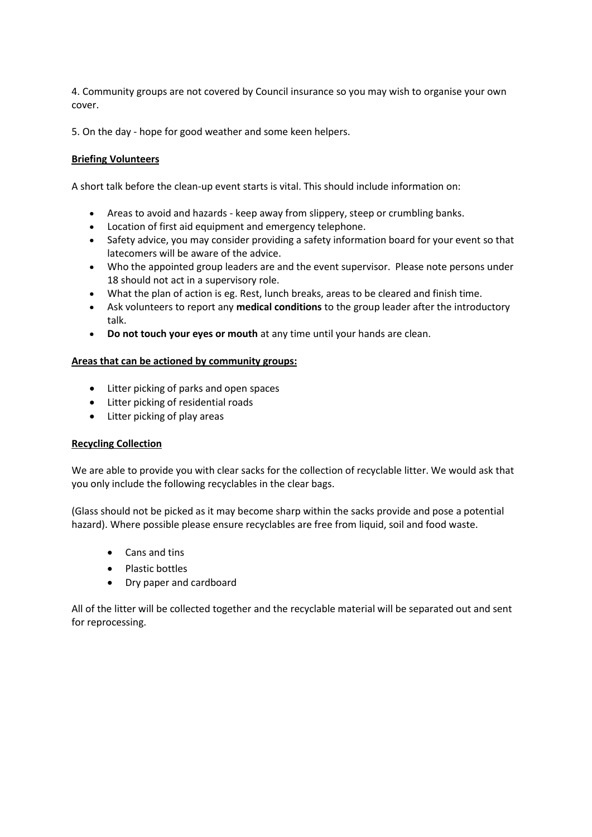4. Community groups are not covered by Council insurance so you may wish to organise your own cover.

5. On the day - hope for good weather and some keen helpers.

## **Briefing Volunteers**

A short talk before the clean-up event starts is vital. This should include information on:

- Areas to avoid and hazards keep away from slippery, steep or crumbling banks.
- Location of first aid equipment and emergency telephone.
- Safety advice, you may consider providing a safety information board for your event so that latecomers will be aware of the advice.
- Who the appointed group leaders are and the event supervisor. Please note persons under 18 should not act in a supervisory role.
- What the plan of action is eg. Rest, lunch breaks, areas to be cleared and finish time.
- Ask volunteers to report any **medical conditions** to the group leader after the introductory talk.
- **Do not touch your eyes or mouth** at any time until your hands are clean.

## **Areas that can be actioned by community groups:**

- Litter picking of parks and open spaces
- Litter picking of residential roads
- Litter picking of play areas

#### **Recycling Collection**

We are able to provide you with clear sacks for the collection of recyclable litter. We would ask that you only include the following recyclables in the clear bags.

(Glass should not be picked as it may become sharp within the sacks provide and pose a potential hazard). Where possible please ensure recyclables are free from liquid, soil and food waste.

- Cans and tins
- Plastic bottles
- Dry paper and cardboard

All of the litter will be collected together and the recyclable material will be separated out and sent for reprocessing.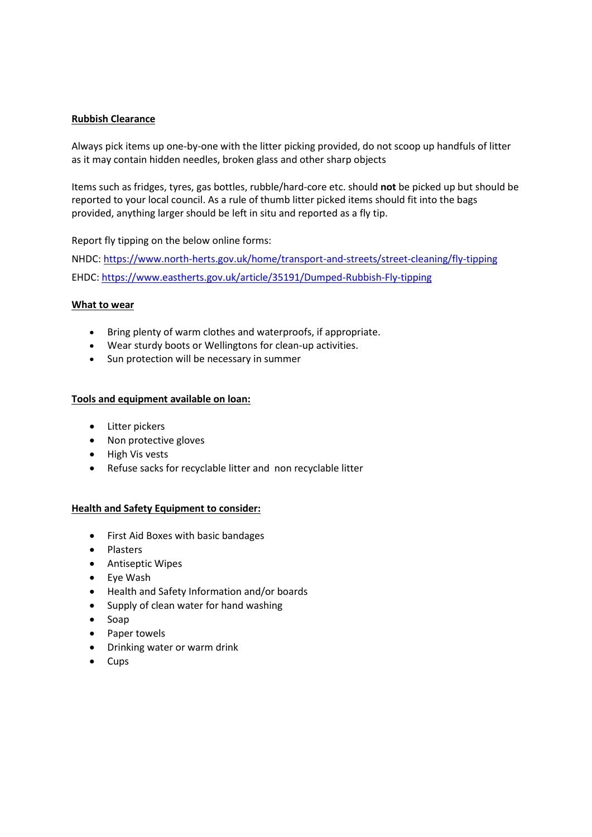#### **Rubbish Clearance**

Always pick items up one-by-one with the litter picking provided, do not scoop up handfuls of litter as it may contain hidden needles, broken glass and other sharp objects

Items such as fridges, tyres, gas bottles, rubble/hard-core etc. should **not** be picked up but should be reported to your local council. As a rule of thumb litter picked items should fit into the bags provided, anything larger should be left in situ and reported as a fly tip.

Report fly tipping on the below online forms:

NHDC: <https://www.north-herts.gov.uk/home/transport-and-streets/street-cleaning/fly-tipping> EHDC:<https://www.eastherts.gov.uk/article/35191/Dumped-Rubbish-Fly-tipping>

## **What to wear**

- Bring plenty of warm clothes and waterproofs, if appropriate.
- Wear sturdy boots or Wellingtons for clean-up activities.
- Sun protection will be necessary in summer

## **Tools and equipment available on loan:**

- Litter pickers
- Non protective gloves
- High Vis vests
- Refuse sacks for recyclable litter and non recyclable litter

#### **Health and Safety Equipment to consider:**

- First Aid Boxes with basic bandages
- Plasters
- Antiseptic Wipes
- Eye Wash
- Health and Safety Information and/or boards
- Supply of clean water for hand washing
- Soap
- Paper towels
- Drinking water or warm drink
- Cups